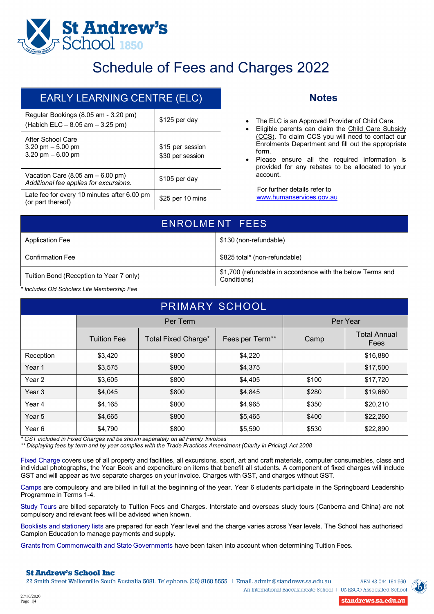

## Schedule of Fees and Charges 2022

| <b>EARLY LEARNING CENTRE (ELC)</b>                                                            |                                      |  |  |
|-----------------------------------------------------------------------------------------------|--------------------------------------|--|--|
| Regular Bookings (8.05 am - 3.20 pm)<br>(Habich ELC - 8.05 am - 3.25 pm)                      | \$125 per day                        |  |  |
| After School Care<br>$3.20 \text{ pm} - 5.00 \text{ pm}$<br>3.20 pm $-6.00$ pm                | \$15 per session<br>\$30 per session |  |  |
| Vacation Care $(8.05 \text{ am} - 6.00 \text{ pm})$<br>Additional fee applies for excursions. | \$105 per day                        |  |  |
| Late fee for every 10 minutes after 6.00 pm<br>(or part thereof)                              | \$25 per 10 mins                     |  |  |

### **Notes**

- The ELC is an Approved Provider of Child Care.
- Eligible parents can claim the Child Care Subsidy (CCS). To claim CCS you will need to contact our Enrolments Department and fill out the appropriate form.
- Please ensure all the required information is provided for any rebates to be allocated to your account.

For further details refer to [www.humanservices.gov.au](http://www.humanservices.gov.au/)

| ENROLMENT FEES                          |                                                                           |  |  |
|-----------------------------------------|---------------------------------------------------------------------------|--|--|
| Application Fee                         | \$130 (non-refundable)                                                    |  |  |
| <b>Confirmation Fee</b>                 | \$825 total* (non-refundable)                                             |  |  |
| Tuition Bond (Reception to Year 7 only) | \$1,700 (refundable in accordance with the below Terms and<br>Conditions) |  |  |

*\* Includes Old Scholars Life Membership Fee*

| PRIMARY SCHOOL |                                                                                                                                                                                                                                             |                     |                 |          |                             |  |
|----------------|---------------------------------------------------------------------------------------------------------------------------------------------------------------------------------------------------------------------------------------------|---------------------|-----------------|----------|-----------------------------|--|
|                |                                                                                                                                                                                                                                             | Per Term            |                 | Per Year |                             |  |
|                | <b>Tuition Fee</b>                                                                                                                                                                                                                          | Total Fixed Charge* | Fees per Term** | Camp     | <b>Total Annual</b><br>Fees |  |
| Reception      | \$3,420                                                                                                                                                                                                                                     | \$800               | \$4,220         |          | \$16,880                    |  |
| Year 1         | \$3,575                                                                                                                                                                                                                                     | \$800               | \$4,375         |          | \$17,500                    |  |
| Year 2         | \$3,605                                                                                                                                                                                                                                     | \$800               | \$4,405         | \$100    | \$17,720                    |  |
| Year 3         | \$4,045                                                                                                                                                                                                                                     | \$800               | \$4,845         | \$280    | \$19,660                    |  |
| Year 4         | \$4,165                                                                                                                                                                                                                                     | \$800               | \$4,965         | \$350    | \$20,210                    |  |
| Year 5         | \$4,665                                                                                                                                                                                                                                     | \$800               | \$5,465         | \$400    | \$22,260                    |  |
| Year 6         | \$4,790<br>$*$ 00 $\pm$ to check of the $\pm$ to choose $\pm$ 0.1 compared to the set of the set of the set of the set of the set of the set of the set of the set of the set of the set of the set of the set of the set of the set of the | \$800               | \$5,590         | \$530    | \$22,890                    |  |

*\* GST included in Fixed Charges will be shown separately on all Family Invoices*

\*\* Displaying fees by term and by year complies with the Trade Practices Amendment (Clarity in Pricing) Act 2008

Fixed Charge covers use of all property and facilities, all excursions, sport, art and craft materials, computer consumables, class and individual photographs, the Year Book and expenditure on items that benefit all students. A component of fixed charges will include GST and will appear as two separate charges on your invoice. Charges with GST, and charges without GST.

Camps are compulsory and are billed in full at the beginning of the year. Year 6 students participate in the Springboard Leadership Programme in Terms 1-4.

Study Tours are billed separately to Tuition Fees and Charges. Interstate and overseas study tours (Canberra and China) are not compulsory and relevant fees will be advised when known.

Booklists and stationery lists are prepared for each Year level and the charge varies across Year levels. The School has authorised Campion Education to manage payments and supply.

Grants from Commonwealth and State Governments have been taken into account when determining Tuition Fees.

#### **St Andrew's School Inc**

22 Smith Street Walkerville South Australia 5081. Telephone. (08) 8168 5555 | Email. admin@standrews.sa.edu.au



An International Baccalaureate School | UNESCO Associated School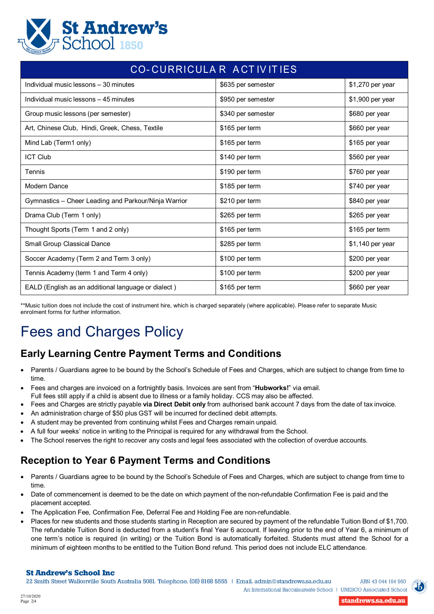

| CO-CURRICULAR ACTIVITIES                             |                    |                  |  |  |  |  |
|------------------------------------------------------|--------------------|------------------|--|--|--|--|
| Individual music lessons - 30 minutes                | \$635 per semester | \$1,270 per year |  |  |  |  |
| Individual music lessons - 45 minutes                | \$950 per semester | \$1,900 per year |  |  |  |  |
| Group music lessons (per semester)                   | \$340 per semester | \$680 per year   |  |  |  |  |
| Art, Chinese Club, Hindi, Greek, Chess, Textile      | \$165 per term     | \$660 per year   |  |  |  |  |
| Mind Lab (Term1 only)                                | \$165 per term     | \$165 per year   |  |  |  |  |
| <b>ICT Club</b>                                      | \$140 per term     | \$560 per year   |  |  |  |  |
| Tennis                                               | \$190 per term     | \$760 per year   |  |  |  |  |
| Modern Dance                                         | \$185 per term     | \$740 per year   |  |  |  |  |
| Gymnastics - Cheer Leading and Parkour/Ninja Warrior | \$210 per term     | \$840 per year   |  |  |  |  |
| Drama Club (Term 1 only)                             | \$265 per term     | \$265 per year   |  |  |  |  |
| Thought Sports (Term 1 and 2 only)                   | \$165 per term     | \$165 per term   |  |  |  |  |
| Small Group Classical Dance                          | \$285 per term     | \$1,140 per year |  |  |  |  |
| Soccer Academy (Term 2 and Term 3 only)              | \$100 per term     | \$200 per year   |  |  |  |  |
| Tennis Academy (term 1 and Term 4 only)              | \$100 per term     | \$200 per year   |  |  |  |  |
| EALD (English as an additional language or dialect)  | \$165 per term     | \$660 per year   |  |  |  |  |

\*\*Music tuition does not include the cost of instrument hire, which is charged separately (where applicable). Please refer to separate Music enrolment forms for further information.

# Fees and Charges Policy

## **Early Learning Centre Payment Terms and Conditions**

- Parents / Guardians agree to be bound by the School's Schedule of Fees and Charges, which are subject to change from time to time.
- Fees and charges are invoiced on a fortnightly basis. Invoices are sent from "**Hubworks!**" via email. Full fees still apply if a child is absent due to illness or a family holiday. CCS may also be affected.
- Fees and Charges are strictly payable **via Direct Debit only** from authorised bank account 7 days from the date of tax invoice.
- An administration charge of \$50 plus GST will be incurred for declined debit attempts.
- A student may be prevented from continuing whilst Fees and Charges remain unpaid.
- A full four weeks' notice in writing to the Principal is required for any withdrawal from the School.
- The School reserves the right to recover any costs and legal fees associated with the collection of overdue accounts.

## **Reception to Year 6 Payment Terms and Conditions**

- Parents / Guardians agree to be bound by the School's Schedule of Fees and Charges, which are subject to change from time to time.
- Date of commencement is deemed to be the date on which payment of the non-refundable Confirmation Fee is paid and the placement accepted.
- The Application Fee, Confirmation Fee, Deferral Fee and Holding Fee are non-refundable.
- Places for new students and those students starting in Reception are secured by payment of the refundable Tuition Bond of \$1,700. The refundable Tuition Bond is deducted from a student's final Year 6 account. If leaving prior to the end of Year 6, a minimum of one term's notice is required (in writing) or the Tuition Bond is automatically forfeited. Students must attend the School for a minimum of eighteen months to be entitled to the Tuition Bond refund. This period does not include ELC attendance.

#### **St Andrew's School Inc**

22 Smith Street Walkerville South Australia 5081. Telephone. (08) 8168 5555 | Email. admin@standrews.sa.edu.au



An International Baccalaureate School | UNESCO Associated School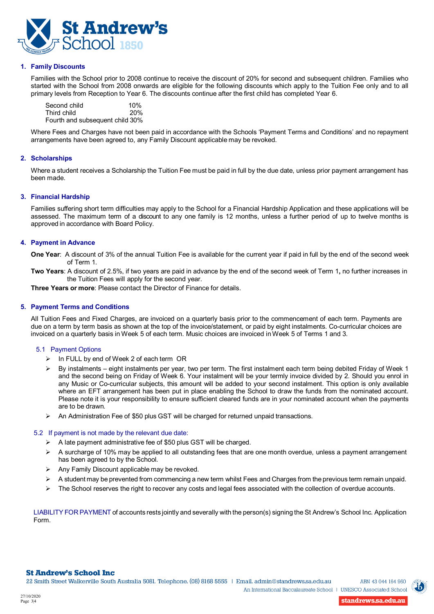

#### **1. Family Discounts**

Families with the School prior to 2008 continue to receive the discount of 20% for second and subsequent children. Families who started with the School from 2008 onwards are eligible for the following discounts which apply to the Tuition Fee only and to all primary levels from Reception to Year 6. The discounts continue after the first child has completed Year 6.

Second child 10%<br>Third child 10% Third child Fourth and subsequent child 30%

Where Fees and Charges have not been paid in accordance with the Schools 'Payment Terms and Conditions' and no repayment arrangements have been agreed to, any Family Discount applicable may be revoked.

#### **2. Scholarships**

Where a student receives a Scholarship the Tuition Fee must be paid in full by the due date, unless prior payment arrangement has been made.

#### **3. Financial Hardship**

Families suffering short term difficulties may apply to the School for a Financial Hardship Application and these applications will be assessed. The maximum term of a discount to any one family is 12 months, unless a further period of up to twelve months is approved in accordance with Board Policy.

#### **4. Payment in Advance**

**One Year**: A discount of 3% of the annual Tuition Fee is available for the current year if paid in full by the end of the second week of Term 1.

**Two Years**: A discount of 2.5%, if two years are paid in advance by the end of the second week of Term 1**,** no further increases in the Tuition Fees will apply for the second year.

**Three Years or more**: Please contact the Director of Finance for details.

#### **5. Payment Terms and Conditions**

All Tuition Fees and Fixed Charges, are invoiced on a quarterly basis prior to the commencement of each term. Payments are due on a term by term basis as shown at the top of the invoice/statement, or paid by eight instalments. Co-curricular choices are invoiced on a quarterly basis in Week 5 of each term. Music choices are invoiced inWeek 5 of Terms 1 and 3.

#### 5.1 Payment Options

- > In FULL by end of Week 2 of each term OR
- By instalments eight instalments per year, two per term. The first instalment each term being debited Friday of Week 1 and the second being on Friday of Week 6. Your instalment will be your termly invoice divided by 2. Should you enrol in any Music or Co-curricular subjects, this amount will be added to your second instalment. This option is only available where an EFT arrangement has been put in place enabling the School to draw the funds from the nominated account. Please note it is your responsibility to ensure sufficient cleared funds are in your nominated account when the payments are to be drawn*.*
- An Administration Fee of \$50 plus GST will be charged for returned unpaid transactions.

#### 5.2 If payment is not made by the relevant due date:

- $\triangleright$  A late payment administrative fee of \$50 plus GST will be charged.
- $\triangleright$  A surcharge of 10% may be applied to all outstanding fees that are one month overdue, unless a payment arrangement has been agreed to by the School.
- Any Family Discount applicable may be revoked.
- $\triangleright$  A student may be prevented from commencing a new term whilst Fees and Charges from the previous term remain unpaid.
- The School reserves the right to recover any costs and legal fees associated with the collection of overdue accounts.

LIABILITY FOR PAYMENT of accounts rests jointly and severally with the person(s) signing the St Andrew's School Inc. Application Form.

standrews.sa.edu.au



An International Baccalaureate School | UNESCO Associated School